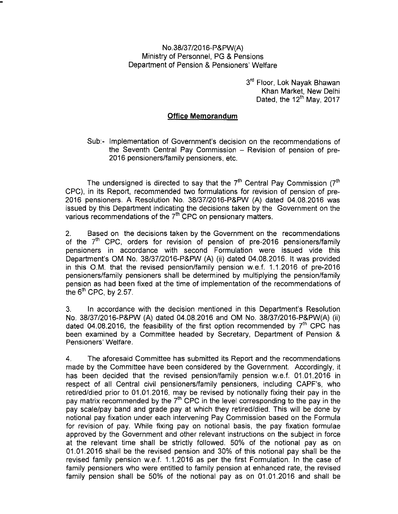## NO.38/37/2016-P&PW(A) Ministry of Personnel, PG & Pensions Department of Pension & Pensioners' Welfare

3rd Floor, Lok Nayak Bhawan Khan Market, New Delhi Dated, the  $12<sup>th</sup>$  May, 2017

## **Office Memorandum**

Sub:- Implementation of Government's decision on the recommendations of the Seventh Central Pay Commission - Revision of pension of pre-2016 pensioners/family pensioners, etc.

The undersigned is directed to say that the  $7<sup>th</sup>$  Central Pay Commission ( $7<sup>th</sup>$ CPC), in its Report, recommended two formulations for revision of pension of pre-2016 pensioners. A Resolution No. 38/37/2016-P&PW (A) dated 04.08.2016 was issued by this Department indicating the decisions taken by the Government on the various recommendations of the  $7<sup>th</sup>$  CPC on pensionary matters.

2. Based on the decisions taken by the Government on the recommendations of the  $7<sup>th</sup>$  CPC, orders for revision of pension of pre-2016 pensioners/family pensioners in accordance with second Formulation were issued vide this Department's OM No. 38/37/2016-P&PW (A) (ii) dated 04.08.2016. It was provided in this O.M. that the revised pension/family pension w.e.f. 1.1.2016 of pre-2016 pensioners/family pensioners shall be determined by multiplying the pension/family pension as had been fixed at the time of implementation of the recommendations of the  $6^{\text{th}}$  CPC, by 2.57.

3. In accordance with the decision mentioned in this Department's Resolution No. 38/37/2016-P&PW (A) dated 04.08.2016 and OM No. 38/37/2016-P&PW(A) (ii) dated 04.08.2016, the feasibility of the first option recommended by  $7<sup>th</sup>$  CPC has been examined by a Committee headed by Secretary, Department of Pension & Pensioners' Welfare.

4. The aforesaid Committee has submitted its Report and the recommendations made by the Committee have been considered by the Government. Accordingly, it has been decided that the revised pension/family pension w.e.f. 01.01.2016 in respect of all Central civil pensioners/family pensioners, including CAPF's, who retired/died prior to 01.01.2016, may be revised by notionally fixing their pay in the pay matrix recommended by the  $7<sup>th</sup>$  CPC in the level corresponding to the pay in the pay scale/pay band and grade pay at which they retired/died. This will be done by notional pay fixation under each intervening Pay Commission based on the Formula for revision of pay. While fixing pay on notional basis, the pay fixation formulae approved by the Government and other relevant instructions on the subject in force at the relevant time shall be strictly followed. 50% of the notional pay as on 01.01.2016 shall be the revised pension and 30% of this notional pay shall be the revised family pension w.e.f. 1.1.2016 as per the first Formulation. In the case of family pensioners who were entitled to family pension at enhanced rate, the revised family pension shall be 50% of the notional pay as on 01.01.2016 and shall be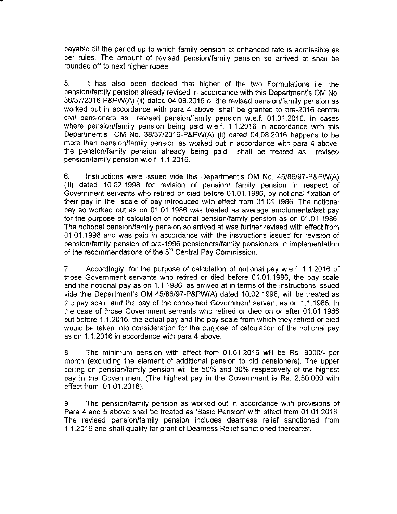payable till the period up to which family pension at enhanced rate is admissible as per rules. The amount of revised pension/family pension so arrived at shall be rounded off to next higher rupee.

5. It has also been decided that higher of the two Formulations i.e. the pension/family pension already revised in accordance with this Department's OM No. 38/37/2016-P&PW(A) (ii) dated 04.08.2016 or the revised pension/family pension as worked out in accordance with para 4 above, shall be granted to pre-2016 central civil pensioners as revised pension/family pension w.e.f. 01.01.2016. In cases where pension/family pension being paid w.e.f. 1.1.2016 in accordance with this Department's OM No. 38/37/2016-P&PW(A) (ii) dated 04.08.2016 happens to be more than pension/family pension as worked out in accordance with para 4 above, the pension/family pension already being paid shall be treated as revised pension/family pension w.e.f. 1.1.2016.

6. Instructions were issued vide this Department's OM No. 45/86/97 -P&PW(A) (iii) dated 10.02.1998 for revision of pension/ family pension in respect of Government servants who retired or died before 01.01.1986, by notional fixation of their pay in the scale of pay introduced with effect from 01.01.1986. The notional pay so worked out as on 01.01.1986 was treated as average emoluments/last pay for the purpose of calculation of notional pension/family pension as on 01.01.1986. The notional pension/family pension so arrived at was further revised with effect from 01.01.1996 and was paid in accordance with the instructions issued for revision of pension/family pension of pre-1996 pensioners/family pensioners in implementation of the recommendations of the 5<sup>th</sup> Central Pay Commission.

7. Accordingly, for the purpose of calculation of notional pay w.e.f. 1.1.2016 of those Government servants who retired or died before 01.01.1986, the pay scale and the notional pay as on 1.1.1986, as arrived at in terms of the instructions issued vide this Department's OM 45/86/97-P&PW(A) dated 10.02.1998, will be treated as the pay scale and the pay of the concerned Government servant as on 1.1.1986. In the case of those Government servants who retired or died on or after 01.01.1986 but before 1.1.2016, the actual pay and the pay scale from which they retired or died would be taken into consideration for the purpose of calculation of the notional pay as on 1.1.2016 in accordance with para 4 above.

8. The minimum pension with effect from 01.01.2016 will be Rs. 9000/- per month (excluding the element of additional pension to old pensioners). The upper ceiling on pension/family pension will be 50% and 30% respectively of the highest pay in the Government (The highest pay in the Government is Rs. 2,50,000 with effect from 01.01.2016).

9. The pension/family pension as worked out in accordance with provisions of Para 4 and 5 above shall be treated as 'Basic Pension' with effect from 01.01.2016. The revised pension/family pension includes dearness relief sanctioned from 1.1.2016 and shall qualify for grant of Dearness Relief sanctioned thereafter.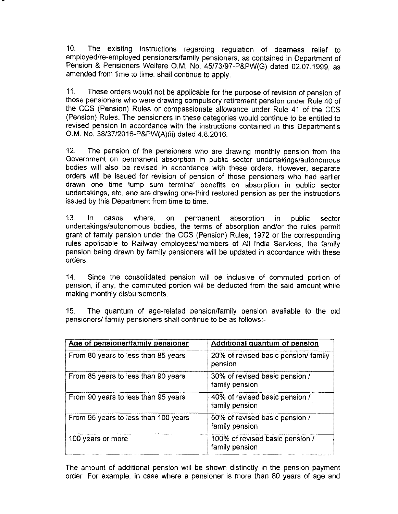10. The existing instructions regarding regulation of dearness relief to employed/re-employed pensioners/family pensioners, as contained in Department of Pension & Pensioners Welfare O.M. No. 45/73/97-P&PW(G) dated 02.07.1999, as amended from time to time, shall continue to apply.

11. These orders would not be applicable for the purpose of revision of pension of those pensioners who were drawing compulsory retirement pension under Rule 40 of the CCS (Pension) Rules or compassionate allowance under Rule 41 of the CCS (Pension) Rules. The pensioners in these categories would continue to be entitled to revised pension in accordance with the instructions contained in this Department's O.M. No. 38/37/2016-P&PW(A)(ii) dated 4.8.2016.

12. The pension of the pensioners who are drawing monthly pension from the Government on permanent absorption in public sector undertakings/autonomous bodies will also be revised in accordance with these orders. However, separate orders will be issued for revision of pension of those pensioners who had earlier drawn one time lump sum terminal benefits on absorption in public sector undertakings, etc. and are drawing one-third restored pension as per the instructions issued by this Department from time to time.

13. In cases where, on permanent absorption in public sector undertakings/autonomous bodies, the terms of absorption and/or the rules permit grant of family pension under the CCS (Pension) Rules, 1972 or the corresponding rules applicable to Railway employees/members of All India Services, the family pension being drawn by family pensioners will be updated in accordance with these orders.

14. Since the consolidated pension will be inclusive of commuted portion of pension, if any, the commuted portion will be deducted from the said amount while making monthly disbursements.

15. The quantum of age-related pension/family pension available to the old pensioners/ family pensioners shall continue to be as follows:-

| Age of pensioner/family pensioner    | <b>Additional quantum of pension</b>              |
|--------------------------------------|---------------------------------------------------|
| From 80 years to less than 85 years  | 20% of revised basic pension/ family<br>pension   |
| From 85 years to less than 90 years  | 30% of revised basic pension /<br>family pension  |
| From 90 years to less than 95 years  | 40% of revised basic pension /<br>family pension  |
| From 95 years to less than 100 years | 50% of revised basic pension /<br>family pension  |
| 100 years or more                    | 100% of revised basic pension /<br>family pension |

The amount of additional pension will be shown distinctly in the pension payment order. For example, in case where a pensioner is more than 80 years of age and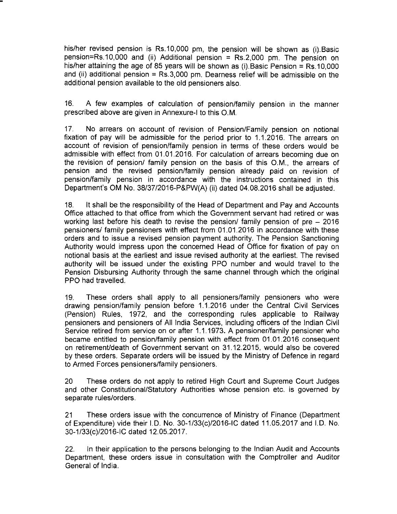his/her revised pension is Rs.10,000 pm, the pension will be shown as (i).Basic pension=Rs.10,000 and (ii) Additional pension = Rs.2,000 pm. The pension on his/her attaining the age of 85 years will be shown as (i).Basic Pension = Rs.10,000 and (ii) additional pension =  $Rs.3,000$  pm. Dearness relief will be admissible on the additional pension available to the old pensioners also.

16. A few examples of calculation of pension/family pension in the manner prescribed above are given in Annexure-I to this O.M.

17. No arrears on account of revision of Pension/Family pension on notional fixation of pay will be admissible for the period prior to 1.1.2016. The arrears on account of revision of pension/family pension in terms of these orders would be admissible with effect from 01.01.2016. For calculation of arrears becoming due on the revision of pension/ family pension on the basis of this O.M., the arrears of pension and the revised pension/family pension already paid on revision of pension/family pension in accordance with the instructions contained in this Department's OM No. 38/37/2016-P&PW(A) (ii) dated 04.08.2016 shall be adjusted.

18. It shall be the responsibility of the Head of Department and Pay and Accounts Office attached to that office from which the Government servant had retired or was working last before his death to revise the pension/ family pension of pre - 2016 pensioners/ family pensioners with effect from 01.01.2016 in accordance with these orders and to issue a revised pension payment authority. The Pension Sanctioning Authority would impress upon the concerned Head of Office for fixation of pay on notional basis at the earliest and issue revised authority at the earliest. The revised authority will be issued under the existing PPO number and would travel to the Pension Disbursing Authority through the same channel through which the original PPO had travelled.

19. These orders shall apply to all pensioners/family pensioners who were drawing pension/family pension before 1.1.2016 under the Central Civil Services (Pension) Rules, 1972, and the corresponding rules applicable to Railway pensioners and pensioners of All India Services, including officers of the Indian Civil Service retired from service on or after 1.1.1973. A pensioner/family pensioner who became entitled to pension/family pension with effect from 01.01.2016 consequent on retirement/death of Government servant on 31.12.2015, would also be covered by these orders. Separate orders will be issued by the Ministry of Defence in regard to Armed Forces pensioners/family pensioners.

20 These orders do not apply to retired High Court and Supreme Court Judges and other Constitutional/Statutory Authorities whose pension etc. is governed by separate rules/orders.

21 These orders issue with the concurrence of Ministry of Finance (Department of Expenditure) vide their I.D. No. 30-1/33(c)/2016-IC dated 11.05.2017 and I.D. No. 30-1/33(c)/2016-IC dated 12.05.2017.

22. In their application to the persons belonging to the Indian Audit and Accounts Department, these orders issue in consultation with the Comptroller and Auditor General of India.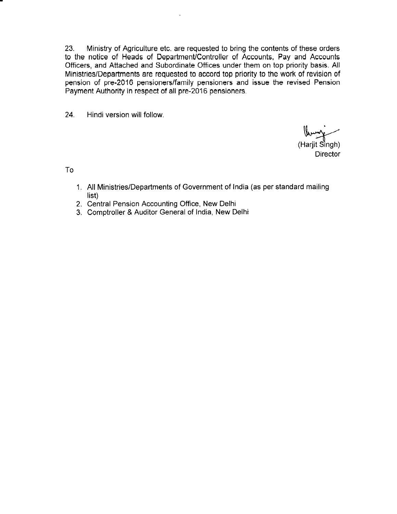23. Ministry of Agriculture etc. are requested to bring the contents of these orders to the notice of Heads of Department/Controller of Accounts, Pay and Accounts Officers, and Attached and Subordinate Offices under them on top priority basis. All Ministries/Departments are requested to accord top priority to the work of revision of pension of pre-2016 pensioners/family pensioners and issue the revised Pension Payment Authority in respect of all pre-2016 pensioners.

24. Hindi version will follow.

(Harjit Sìngh) Director

To

- 1. All Ministries/Departments of Government of India (as per standard mailing list)
- 2. Central Pension Accounting Office, New Delhi
- 3. Comptroller & Auditor General of India, New Delhi